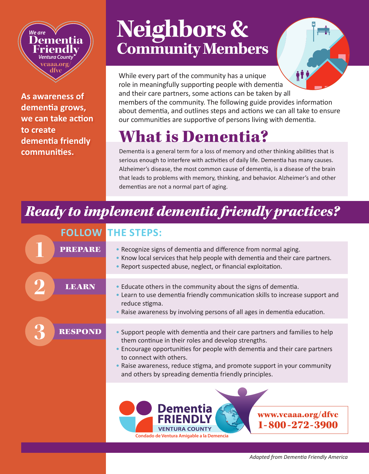**As awareness of dementia grows, we can take action to create dementia friendly communities.**

**Dementia Friendly** *Ventura County* **vcaaa.org/ dfvc**

 *We are*

## **Neighbors & Community Members**

Ħ. While every part of the community has a unique role in meaningfully supporting people with dementia and their care partners, some actions can be taken by all members of the community. The following guide provides information about dementia, and outlines steps and actions we can all take to ensure our communities are supportive of persons living with dementia.

## What is Dementia?

Dementia is a general term for a loss of memory and other thinking abilities that is serious enough to interfere with activities of daily life. Dementia has many causes. Alzheimer's disease, the most common cause of dementia, is a disease of the brain that leads to problems with memory, thinking, and behavior. Alzheimer's and other dementias are not a normal part of aging.

## *Ready to implement dementia friendly practices?*

## **FOLLOW THE STEPS: 1** PREPARE• Recognize signs of dementia and difference from normal aging. • Know local services that help people with dementia and their care partners. • Report suspected abuse, neglect, or financial exploitation. **2** LEARN • Educate others in the community about the signs of dementia. • Learn to use dementia friendly communication skills to increase support and reduce stigma. • Raise awareness by involving persons of all ages in dementia education. **3** RESPOND • Support people with dementia and their care partners and families to help them continue in their roles and develop strengths. • Encourage opportunities for people with dementia and their care partners to connect with others. • Raise awareness, reduce stigma, and promote support in your community and others by spreading dementia friendly principles. ementia www.vcaaa.org/dfvc 1-800-272-3900 **VENTURA COUNTY Condado de Ventura Amigable a la Demencia**